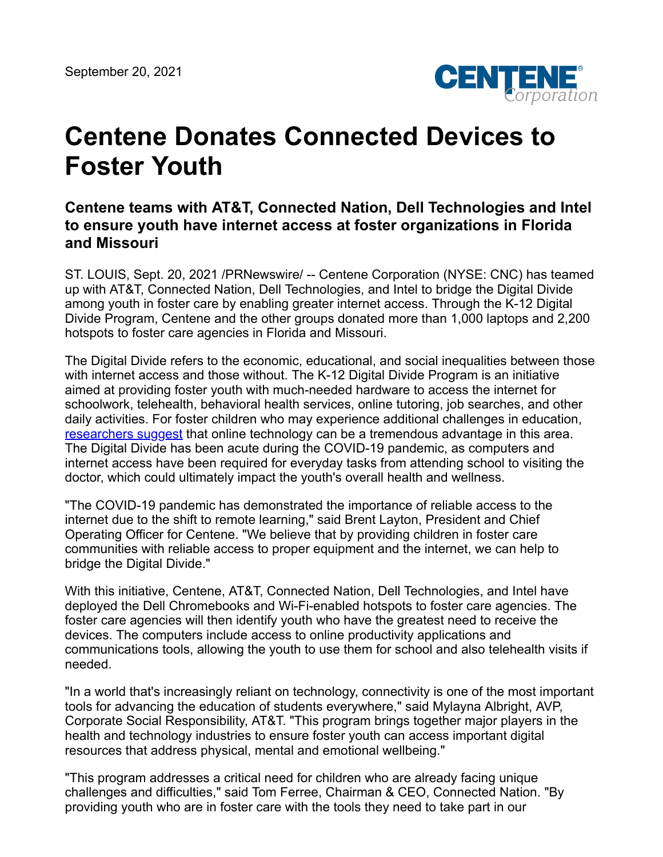

## **Centene Donates Connected Devices to Foster Youth**

## **Centene teams with AT&T, Connected Nation, Dell Technologies and Intel to ensure youth have internet access at foster organizations in Florida and Missouri**

ST. LOUIS, Sept. 20, 2021 /PRNewswire/ -- Centene Corporation (NYSE: CNC) has teamed up with AT&T, Connected Nation, Dell Technologies, and Intel to bridge the Digital Divide among youth in foster care by enabling greater internet access. Through the K-12 Digital Divide Program, Centene and the other groups donated more than 1,000 laptops and 2,200 hotspots to foster care agencies in Florida and Missouri.

The Digital Divide refers to the economic, educational, and social inequalities between those with internet access and those without. The K-12 Digital Divide Program is an initiative aimed at providing foster youth with much-needed hardware to access the internet for schoolwork, telehealth, behavioral health services, online tutoring, job searches, and other daily activities. For foster children who may experience additional challenges in education, [researchers suggest](https://www.fosterfocusmag.com/articles/benefits-line-technology-foster-youth) that online technology can be a tremendous advantage in this area. The Digital Divide has been acute during the COVID-19 pandemic, as computers and internet access have been required for everyday tasks from attending school to visiting the doctor, which could ultimately impact the youth's overall health and wellness.

"The COVID-19 pandemic has demonstrated the importance of reliable access to the internet due to the shift to remote learning," said Brent Layton, President and Chief Operating Officer for Centene. "We believe that by providing children in foster care communities with reliable access to proper equipment and the internet, we can help to bridge the Digital Divide."

With this initiative, Centene, AT&T, Connected Nation, Dell Technologies, and Intel have deployed the Dell Chromebooks and Wi-Fi-enabled hotspots to foster care agencies. The foster care agencies will then identify youth who have the greatest need to receive the devices. The computers include access to online productivity applications and communications tools, allowing the youth to use them for school and also telehealth visits if needed.

"In a world that's increasingly reliant on technology, connectivity is one of the most important tools for advancing the education of students everywhere," said Mylayna Albright, AVP, Corporate Social Responsibility, AT&T. "This program brings together major players in the health and technology industries to ensure foster youth can access important digital resources that address physical, mental and emotional wellbeing."

"This program addresses a critical need for children who are already facing unique challenges and difficulties," said Tom Ferree, Chairman & CEO, Connected Nation. "By providing youth who are in foster care with the tools they need to take part in our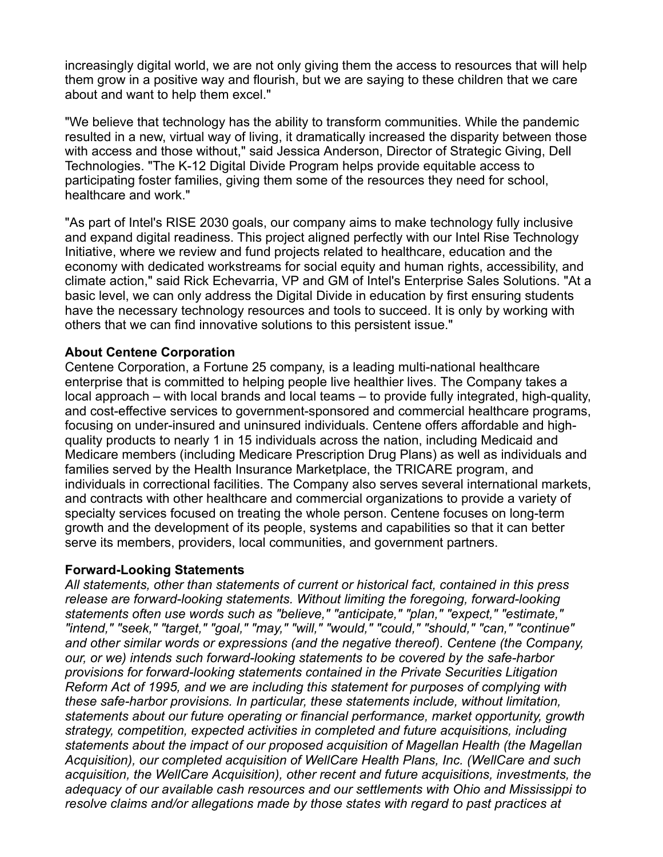increasingly digital world, we are not only giving them the access to resources that will help them grow in a positive way and flourish, but we are saying to these children that we care about and want to help them excel."

"We believe that technology has the ability to transform communities. While the pandemic resulted in a new, virtual way of living, it dramatically increased the disparity between those with access and those without," said Jessica Anderson, Director of Strategic Giving, Dell Technologies. "The K-12 Digital Divide Program helps provide equitable access to participating foster families, giving them some of the resources they need for school, healthcare and work."

"As part of Intel's RISE 2030 goals, our company aims to make technology fully inclusive and expand digital readiness. This project aligned perfectly with our Intel Rise Technology Initiative, where we review and fund projects related to healthcare, education and the economy with dedicated workstreams for social equity and human rights, accessibility, and climate action," said Rick Echevarria, VP and GM of Intel's Enterprise Sales Solutions. "At a basic level, we can only address the Digital Divide in education by first ensuring students have the necessary technology resources and tools to succeed. It is only by working with others that we can find innovative solutions to this persistent issue."

## **About Centene Corporation**

Centene Corporation, a Fortune 25 company, is a leading multi-national healthcare enterprise that is committed to helping people live healthier lives. The Company takes a local approach – with local brands and local teams – to provide fully integrated, high-quality, and cost-effective services to government-sponsored and commercial healthcare programs, focusing on under-insured and uninsured individuals. Centene offers affordable and highquality products to nearly 1 in 15 individuals across the nation, including Medicaid and Medicare members (including Medicare Prescription Drug Plans) as well as individuals and families served by the Health Insurance Marketplace, the TRICARE program, and individuals in correctional facilities. The Company also serves several international markets, and contracts with other healthcare and commercial organizations to provide a variety of specialty services focused on treating the whole person. Centene focuses on long-term growth and the development of its people, systems and capabilities so that it can better serve its members, providers, local communities, and government partners.

## **Forward-Looking Statements**

*All statements, other than statements of current or historical fact, contained in this press release are forward-looking statements. Without limiting the foregoing, forward-looking statements often use words such as "believe," "anticipate," "plan," "expect," "estimate," "intend," "seek," "target," "goal," "may," "will," "would," "could," "should," "can," "continue" and other similar words or expressions (and the negative thereof). Centene (the Company, our, or we) intends such forward-looking statements to be covered by the safe-harbor provisions for forward-looking statements contained in the Private Securities Litigation Reform Act of 1995, and we are including this statement for purposes of complying with these safe-harbor provisions. In particular, these statements include, without limitation, statements about our future operating or financial performance, market opportunity, growth strategy, competition, expected activities in completed and future acquisitions, including statements about the impact of our proposed acquisition of Magellan Health (the Magellan Acquisition), our completed acquisition of WellCare Health Plans, Inc. (WellCare and such acquisition, the WellCare Acquisition), other recent and future acquisitions, investments, the adequacy of our available cash resources and our settlements with Ohio and Mississippi to resolve claims and/or allegations made by those states with regard to past practices at*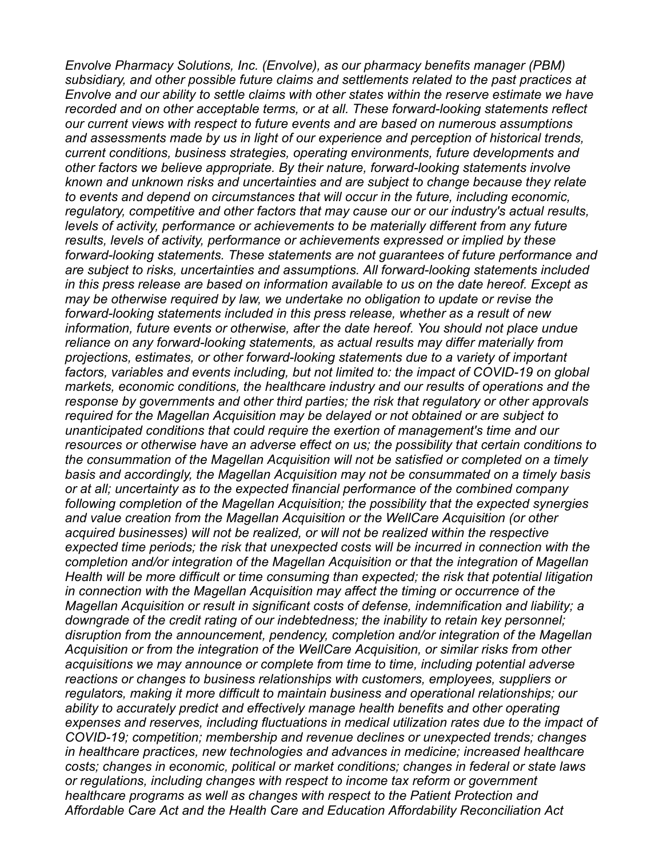*Envolve Pharmacy Solutions, Inc. (Envolve), as our pharmacy benefits manager (PBM) subsidiary, and other possible future claims and settlements related to the past practices at Envolve and our ability to settle claims with other states within the reserve estimate we have recorded and on other acceptable terms, or at all. These forward-looking statements reflect our current views with respect to future events and are based on numerous assumptions and assessments made by us in light of our experience and perception of historical trends, current conditions, business strategies, operating environments, future developments and other factors we believe appropriate. By their nature, forward-looking statements involve known and unknown risks and uncertainties and are subject to change because they relate to events and depend on circumstances that will occur in the future, including economic, regulatory, competitive and other factors that may cause our or our industry's actual results, levels of activity, performance or achievements to be materially different from any future results, levels of activity, performance or achievements expressed or implied by these forward-looking statements. These statements are not guarantees of future performance and are subject to risks, uncertainties and assumptions. All forward-looking statements included in this press release are based on information available to us on the date hereof. Except as may be otherwise required by law, we undertake no obligation to update or revise the forward-looking statements included in this press release, whether as a result of new information, future events or otherwise, after the date hereof. You should not place undue reliance on any forward-looking statements, as actual results may differ materially from projections, estimates, or other forward-looking statements due to a variety of important factors, variables and events including, but not limited to: the impact of COVID-19 on global markets, economic conditions, the healthcare industry and our results of operations and the response by governments and other third parties; the risk that regulatory or other approvals required for the Magellan Acquisition may be delayed or not obtained or are subject to unanticipated conditions that could require the exertion of management's time and our resources or otherwise have an adverse effect on us; the possibility that certain conditions to the consummation of the Magellan Acquisition will not be satisfied or completed on a timely basis and accordingly, the Magellan Acquisition may not be consummated on a timely basis or at all; uncertainty as to the expected financial performance of the combined company following completion of the Magellan Acquisition; the possibility that the expected synergies and value creation from the Magellan Acquisition or the WellCare Acquisition (or other acquired businesses) will not be realized, or will not be realized within the respective expected time periods; the risk that unexpected costs will be incurred in connection with the completion and/or integration of the Magellan Acquisition or that the integration of Magellan Health will be more difficult or time consuming than expected; the risk that potential litigation in connection with the Magellan Acquisition may affect the timing or occurrence of the Magellan Acquisition or result in significant costs of defense, indemnification and liability; a downgrade of the credit rating of our indebtedness; the inability to retain key personnel; disruption from the announcement, pendency, completion and/or integration of the Magellan Acquisition or from the integration of the WellCare Acquisition, or similar risks from other acquisitions we may announce or complete from time to time, including potential adverse reactions or changes to business relationships with customers, employees, suppliers or regulators, making it more difficult to maintain business and operational relationships; our ability to accurately predict and effectively manage health benefits and other operating expenses and reserves, including fluctuations in medical utilization rates due to the impact of COVID-19; competition; membership and revenue declines or unexpected trends; changes in healthcare practices, new technologies and advances in medicine; increased healthcare costs; changes in economic, political or market conditions; changes in federal or state laws or regulations, including changes with respect to income tax reform or government healthcare programs as well as changes with respect to the Patient Protection and Affordable Care Act and the Health Care and Education Affordability Reconciliation Act*